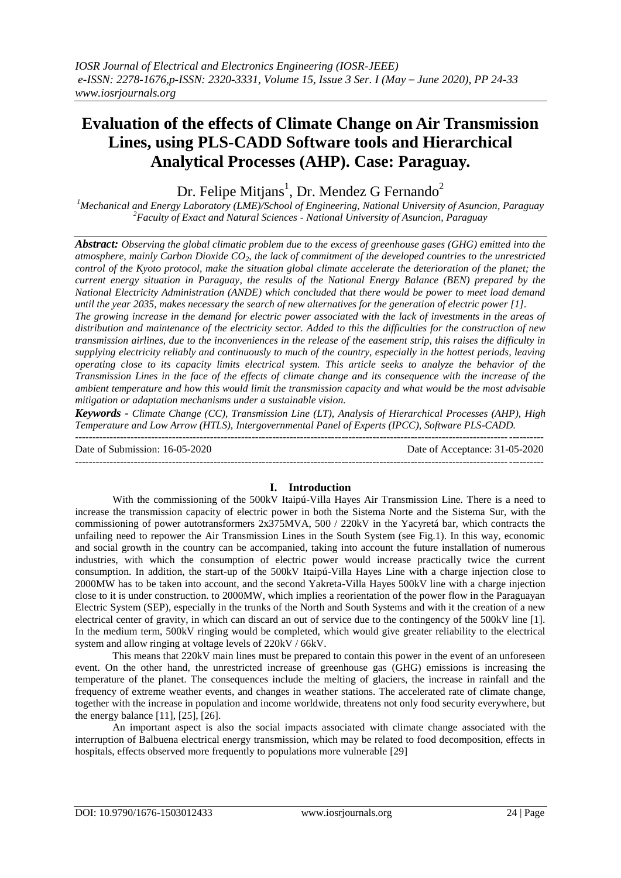# **Evaluation of the effects of Climate Change on Air Transmission Lines, using PLS-CADD Software tools and Hierarchical Analytical Processes (AHP). Case: Paraguay.**

## Dr. Felipe Mitjans<sup>1</sup>, Dr. Mendez G Fernando<sup>2</sup>

*<sup>1</sup>Mechanical and Energy Laboratory (LME)/School of Engineering, National University of Asuncion, Paraguay <sup>2</sup>Faculty of Exact and Natural Sciences - National University of Asuncion, Paraguay*

*Abstract: Observing the global climatic problem due to the excess of greenhouse gases (GHG) emitted into the atmosphere, mainly Carbon Dioxide CO2, the lack of commitment of the developed countries to the unrestricted control of the Kyoto protocol, make the situation global climate accelerate the deterioration of the planet; the current energy situation in Paraguay, the results of the National Energy Balance (BEN) prepared by the National Electricity Administration (ANDE) which concluded that there would be power to meet load demand until the year 2035, makes necessary the search of new alternatives for the generation of electric power [1].*

*The growing increase in the demand for electric power associated with the lack of investments in the areas of distribution and maintenance of the electricity sector. Added to this the difficulties for the construction of new transmission airlines, due to the inconveniences in the release of the easement strip, this raises the difficulty in supplying electricity reliably and continuously to much of the country, especially in the hottest periods, leaving operating close to its capacity limits electrical system. This article seeks to analyze the behavior of the Transmission Lines in the face of the effects of climate change and its consequence with the increase of the ambient temperature and how this would limit the transmission capacity and what would be the most advisable mitigation or adaptation mechanisms under a sustainable vision.*

*Keywords - Climate Change (CC), Transmission Line (LT), Analysis of Hierarchical Processes (AHP), High Temperature and Low Arrow (HTLS), Intergovernmental Panel of Experts (IPCC), Software PLS-CADD.* ---------------------------------------------------------------------------------------------------------------------------------------

Date of Submission: 16-05-2020 Date of Acceptance: 31-05-2020  $-1-\frac{1}{2}$ 

## **I. Introduction**

With the commissioning of the 500kV Itaipú-Villa Hayes Air Transmission Line. There is a need to increase the transmission capacity of electric power in both the Sistema Norte and the Sistema Sur, with the commissioning of power autotransformers 2x375MVA, 500 / 220kV in the Yacyretá bar, which contracts the unfailing need to repower the Air Transmission Lines in the South System (see Fig.1). In this way, economic and social growth in the country can be accompanied, taking into account the future installation of numerous industries, with which the consumption of electric power would increase practically twice the current consumption. In addition, the start-up of the 500kV Itaipú-Villa Hayes Line with a charge injection close to 2000MW has to be taken into account, and the second Yakreta-Villa Hayes 500kV line with a charge injection close to it is under construction. to 2000MW, which implies a reorientation of the power flow in the Paraguayan Electric System (SEP), especially in the trunks of the North and South Systems and with it the creation of a new electrical center of gravity, in which can discard an out of service due to the contingency of the 500kV line [1]. In the medium term, 500kV ringing would be completed, which would give greater reliability to the electrical system and allow ringing at voltage levels of 220kV / 66kV.

This means that 220kV main lines must be prepared to contain this power in the event of an unforeseen event. On the other hand, the unrestricted increase of greenhouse gas (GHG) emissions is increasing the temperature of the planet. The consequences include the melting of glaciers, the increase in rainfall and the frequency of extreme weather events, and changes in weather stations. The accelerated rate of climate change, together with the increase in population and income worldwide, threatens not only food security everywhere, but the energy balance [11], [25], [26].

An important aspect is also the social impacts associated with climate change associated with the interruption of Balbuena electrical energy transmission, which may be related to food decomposition, effects in hospitals, effects observed more frequently to populations more vulnerable [29]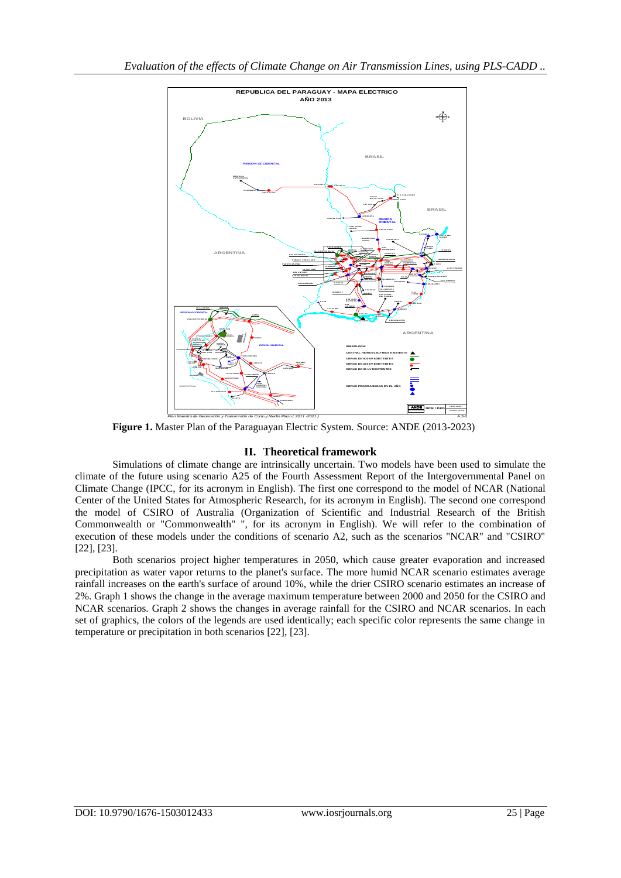

**Figure 1.** Master Plan of the Paraguayan Electric System. Source: ANDE (2013-2023)

## **II. Theoretical framework**

Simulations of climate change are intrinsically uncertain. Two models have been used to simulate the climate of the future using scenario A25 of the Fourth Assessment Report of the Intergovernmental Panel on Climate Change (IPCC, for its acronym in English). The first one correspond to the model of NCAR (National Center of the United States for Atmospheric Research, for its acronym in English). The second one correspond the model of CSIRO of Australia (Organization of Scientific and Industrial Research of the British Commonwealth or "Commonwealth" ", for its acronym in English). We will refer to the combination of execution of these models under the conditions of scenario A2, such as the scenarios "NCAR" and "CSIRO" [22], [23].

Both scenarios project higher temperatures in 2050, which cause greater evaporation and increased precipitation as water vapor returns to the planet's surface. The more humid NCAR scenario estimates average rainfall increases on the earth's surface of around 10%, while the drier CSIRO scenario estimates an increase of 2%. Graph 1 shows the change in the average maximum temperature between 2000 and 2050 for the CSIRO and NCAR scenarios. Graph 2 shows the changes in average rainfall for the CSIRO and NCAR scenarios. In each set of graphics, the colors of the legends are used identically; each specific color represents the same change in temperature or precipitation in both scenarios [22], [23].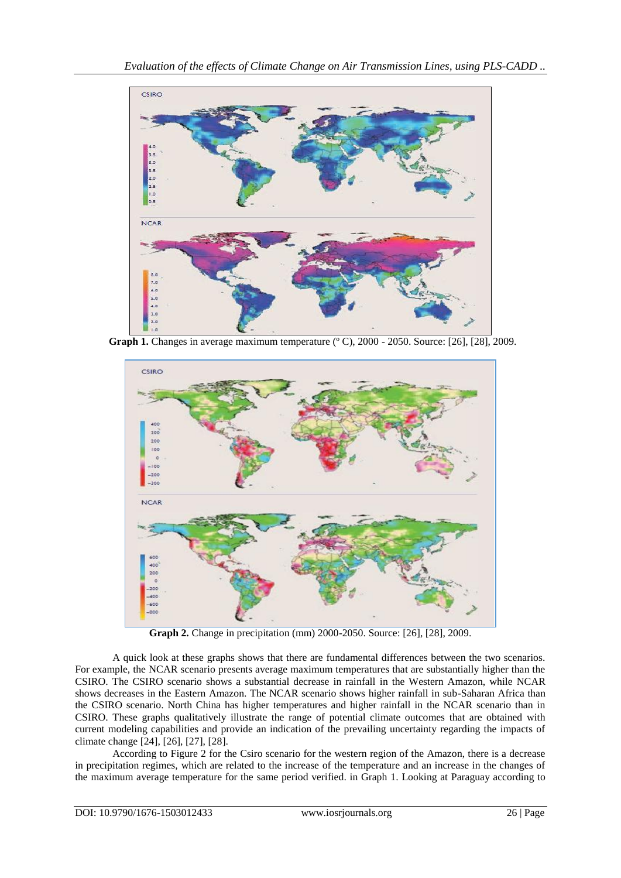

Graph 1. Changes in average maximum temperature (° C), 2000 - 2050. Source: [26], [28], 2009.



**Graph 2.** Change in precipitation (mm) 2000-2050. Source: [26], [28], 2009.

A quick look at these graphs shows that there are fundamental differences between the two scenarios. For example, the NCAR scenario presents average maximum temperatures that are substantially higher than the CSIRO. The CSIRO scenario shows a substantial decrease in rainfall in the Western Amazon, while NCAR shows decreases in the Eastern Amazon. The NCAR scenario shows higher rainfall in sub-Saharan Africa than the CSIRO scenario. North China has higher temperatures and higher rainfall in the NCAR scenario than in CSIRO. These graphs qualitatively illustrate the range of potential climate outcomes that are obtained with current modeling capabilities and provide an indication of the prevailing uncertainty regarding the impacts of climate change [24], [26], [27], [28].

According to Figure 2 for the Csiro scenario for the western region of the Amazon, there is a decrease in precipitation regimes, which are related to the increase of the temperature and an increase in the changes of the maximum average temperature for the same period verified. in Graph 1. Looking at Paraguay according to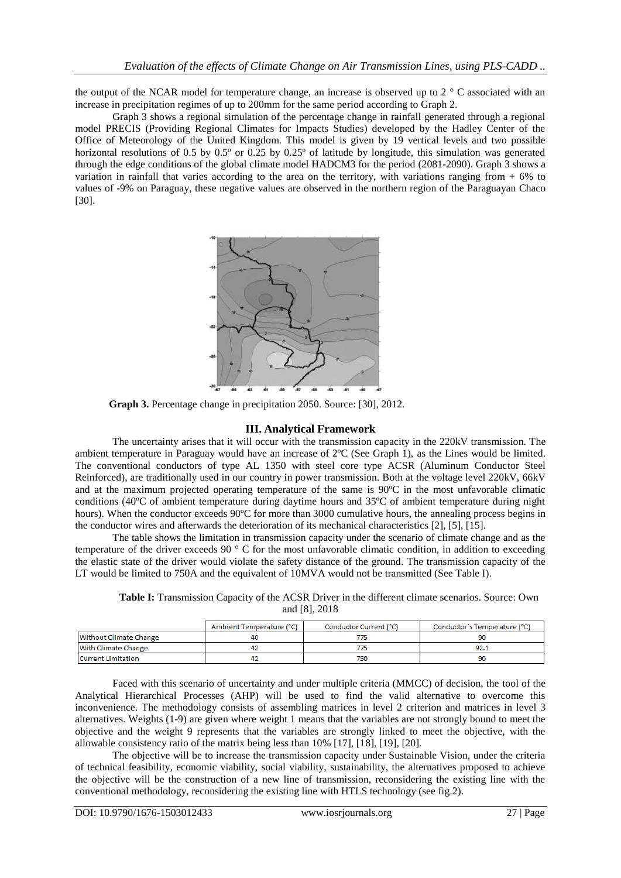the output of the NCAR model for temperature change, an increase is observed up to 2 ° C associated with an increase in precipitation regimes of up to 200mm for the same period according to Graph 2.

Graph 3 shows a regional simulation of the percentage change in rainfall generated through a regional model PRECIS (Providing Regional Climates for Impacts Studies) developed by the Hadley Center of the Office of Meteorology of the United Kingdom. This model is given by 19 vertical levels and two possible horizontal resolutions of 0.5 by 0.5° or 0.25 by 0.25° of latitude by longitude, this simulation was generated through the edge conditions of the global climate model HADCM3 for the period (2081-2090). Graph 3 shows a variation in rainfall that varies according to the area on the territory, with variations ranging from + 6% to values of -9% on Paraguay, these negative values are observed in the northern region of the Paraguayan Chaco [30].



 **Graph 3.** Percentage change in precipitation 2050. Source: [30], 2012.

#### **III. Analytical Framework**

The uncertainty arises that it will occur with the transmission capacity in the 220kV transmission. The ambient temperature in Paraguay would have an increase of 2ºC (See Graph 1), as the Lines would be limited. The conventional conductors of type AL 1350 with steel core type ACSR (Aluminum Conductor Steel Reinforced), are traditionally used in our country in power transmission. Both at the voltage level 220kV, 66kV and at the maximum projected operating temperature of the same is 90ºC in the most unfavorable climatic conditions (40ºC of ambient temperature during daytime hours and 35ºC of ambient temperature during night hours). When the conductor exceeds 90°C for more than 3000 cumulative hours, the annealing process begins in the conductor wires and afterwards the deterioration of its mechanical characteristics [2], [5], [15].

The table shows the limitation in transmission capacity under the scenario of climate change and as the temperature of the driver exceeds 90 ° C for the most unfavorable climatic condition, in addition to exceeding the elastic state of the driver would violate the safety distance of the ground. The transmission capacity of the LT would be limited to 750A and the equivalent of 10MVA would not be transmitted (See Table I).

**Table I:** Transmission Capacity of the ACSR Driver in the different climate scenarios. Source: Own and [8], 2018

|                        | Ambient Temperature (°C) | Conductor Current (°C) | Conductor's Temperature (°C) |
|------------------------|--------------------------|------------------------|------------------------------|
| Without Climate Change | 40                       |                        |                              |
| With Climate Change    | 47                       |                        | 92.1                         |
| Current Limitation     | 42                       |                        | 90                           |

Faced with this scenario of uncertainty and under multiple criteria (MMCC) of decision, the tool of the Analytical Hierarchical Processes (AHP) will be used to find the valid alternative to overcome this inconvenience. The methodology consists of assembling matrices in level 2 criterion and matrices in level 3 alternatives. Weights (1-9) are given where weight 1 means that the variables are not strongly bound to meet the objective and the weight 9 represents that the variables are strongly linked to meet the objective, with the allowable consistency ratio of the matrix being less than 10% [17], [18], [19], [20].

The objective will be to increase the transmission capacity under Sustainable Vision, under the criteria of technical feasibility, economic viability, social viability, sustainability, the alternatives proposed to achieve the objective will be the construction of a new line of transmission, reconsidering the existing line with the conventional methodology, reconsidering the existing line with HTLS technology (see fig.2).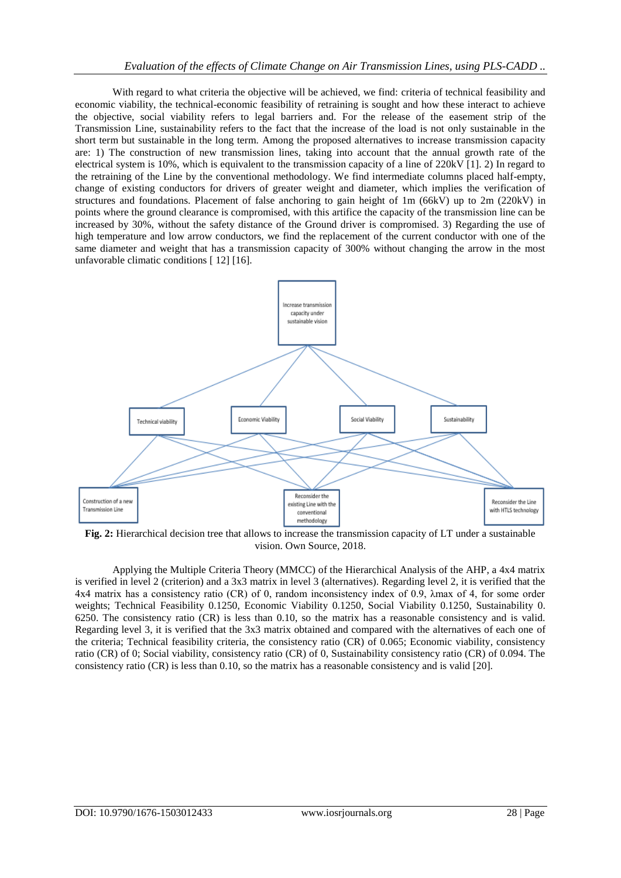With regard to what criteria the objective will be achieved, we find: criteria of technical feasibility and economic viability, the technical-economic feasibility of retraining is sought and how these interact to achieve the objective, social viability refers to legal barriers and. For the release of the easement strip of the Transmission Line, sustainability refers to the fact that the increase of the load is not only sustainable in the short term but sustainable in the long term. Among the proposed alternatives to increase transmission capacity are: 1) The construction of new transmission lines, taking into account that the annual growth rate of the electrical system is 10%, which is equivalent to the transmission capacity of a line of 220kV [1]. 2) In regard to the retraining of the Line by the conventional methodology. We find intermediate columns placed half-empty, change of existing conductors for drivers of greater weight and diameter, which implies the verification of structures and foundations. Placement of false anchoring to gain height of 1m (66kV) up to 2m (220kV) in points where the ground clearance is compromised, with this artifice the capacity of the transmission line can be increased by 30%, without the safety distance of the Ground driver is compromised. 3) Regarding the use of high temperature and low arrow conductors, we find the replacement of the current conductor with one of the same diameter and weight that has a transmission capacity of 300% without changing the arrow in the most unfavorable climatic conditions [ 12] [16].



**Fig. 2:** Hierarchical decision tree that allows to increase the transmission capacity of LT under a sustainable vision. Own Source, 2018.

Applying the Multiple Criteria Theory (MMCC) of the Hierarchical Analysis of the AHP, a 4x4 matrix is verified in level 2 (criterion) and a 3x3 matrix in level 3 (alternatives). Regarding level 2, it is verified that the 4x4 matrix has a consistency ratio (CR) of 0, random inconsistency index of 0.9, λmax of 4, for some order weights; Technical Feasibility 0.1250, Economic Viability 0.1250, Social Viability 0.1250, Sustainability 0. 6250. The consistency ratio (CR) is less than 0.10, so the matrix has a reasonable consistency and is valid. Regarding level 3, it is verified that the 3x3 matrix obtained and compared with the alternatives of each one of the criteria; Technical feasibility criteria, the consistency ratio (CR) of 0.065; Economic viability, consistency ratio (CR) of 0; Social viability, consistency ratio (CR) of 0, Sustainability consistency ratio (CR) of 0.094. The consistency ratio (CR) is less than 0.10, so the matrix has a reasonable consistency and is valid [20].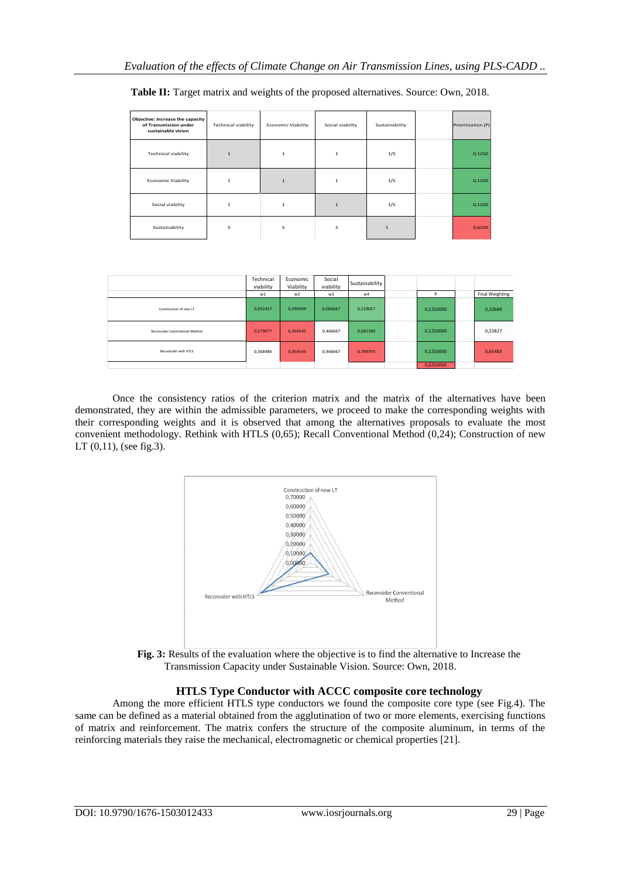| Objective: Increase the capacity<br>of Transmission under<br>sustainable vision | <b>Technical viability</b> | <b>Economic Viability</b> | Social viability | Sustainability | Prioritization (P) |
|---------------------------------------------------------------------------------|----------------------------|---------------------------|------------------|----------------|--------------------|
| <b>Technical viability</b>                                                      | $\mathbf 1$                | $\mathbf{1}$              | $\mathbf{1}$     | 1/5            | 0,1250             |
| <b>Economic Viability</b>                                                       | $\mathbf{1}$               | $\mathbf{1}$              | $\mathbf{1}$     | 1/5            | 0,1250             |
| Social viability                                                                | $\mathbf{1}$               | $\mathbf{1}$              | $\mathbf{1}$     | 1/5            | 0,1250             |
| Sustainability                                                                  | 5                          | 5                         | 5                | $\mathbf{1}$   | 0,6250             |

**Table II:** Target matrix and weights of the proposed alternatives. Source: Own, 2018.

|                                | Technical<br>viability<br>w1 | Economic<br>Viability<br>W <sup>2</sup> | Social<br>viability<br>W <sup>3</sup> | Sustainability<br>w4 | P         | Final Weighting |
|--------------------------------|------------------------------|-----------------------------------------|---------------------------------------|----------------------|-----------|-----------------|
| Construction of new LT         | 0,052437                     | 0,090909                                | 0,066667                              | 0,129027             | 0,1250000 | 0,10689         |
| Reconsider Conventional Method | 0.579077                     | 0,454545                                | 0,466667                              | 0,081180             | 0,1250000 | 0,23827         |
| Reconsider with HTLS           | 0.368486                     | 0,454545                                | 0,466667                              | 0,789793             | 0,1250000 | 0,65483         |
|                                |                              |                                         |                                       |                      | 0.6250000 |                 |

Once the consistency ratios of the criterion matrix and the matrix of the alternatives have been demonstrated, they are within the admissible parameters, we proceed to make the corresponding weights with their corresponding weights and it is observed that among the alternatives proposals to evaluate the most convenient methodology. Rethink with HTLS (0,65); Recall Conventional Method (0,24); Construction of new LT (0,11), (see fig.3).



**Fig. 3:** Results of the evaluation where the objective is to find the alternative to Increase the Transmission Capacity under Sustainable Vision. Source: Own, 2018.

## **HTLS Type Conductor with ACCC composite core technology**

Among the more efficient HTLS type conductors we found the composite core type (see Fig.4). The same can be defined as a material obtained from the agglutination of two or more elements, exercising functions of matrix and reinforcement. The matrix confers the structure of the composite aluminum, in terms of the reinforcing materials they raise the mechanical, electromagnetic or chemical properties [21].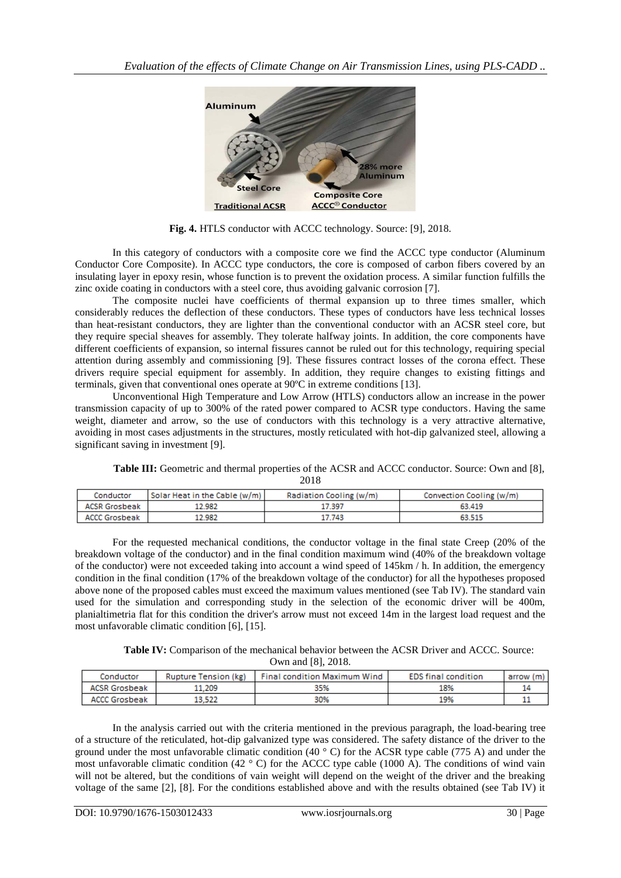

**Fig. 4.** HTLS conductor with ACCC technology. Source: [9], 2018.

In this category of conductors with a composite core we find the ACCC type conductor (Aluminum Conductor Core Composite). In ACCC type conductors, the core is composed of carbon fibers covered by an insulating layer in epoxy resin, whose function is to prevent the oxidation process. A similar function fulfills the zinc oxide coating in conductors with a steel core, thus avoiding galvanic corrosion [7].

The composite nuclei have coefficients of thermal expansion up to three times smaller, which considerably reduces the deflection of these conductors. These types of conductors have less technical losses than heat-resistant conductors, they are lighter than the conventional conductor with an ACSR steel core, but they require special sheaves for assembly. They tolerate halfway joints. In addition, the core components have different coefficients of expansion, so internal fissures cannot be ruled out for this technology, requiring special attention during assembly and commissioning [9]. These fissures contract losses of the corona effect. These drivers require special equipment for assembly. In addition, they require changes to existing fittings and terminals, given that conventional ones operate at 90ºC in extreme conditions [13].

Unconventional High Temperature and Low Arrow (HTLS) conductors allow an increase in the power transmission capacity of up to 300% of the rated power compared to ACSR type conductors. Having the same weight, diameter and arrow, so the use of conductors with this technology is a very attractive alternative, avoiding in most cases adjustments in the structures, mostly reticulated with hot-dip galvanized steel, allowing a significant saving in investment [9].

**Table III:** Geometric and thermal properties of the ACSR and ACCC conductor. Source: Own and [8], 2018

| Conductor            | Solar Heat in the Cable (w/m) | Radiation Cooling (w/m) | Convection Cooling (w/m) |
|----------------------|-------------------------------|-------------------------|--------------------------|
| <b>ACSR Grosbeak</b> | 2.982                         | 17.397                  | 63.419                   |
| ACCC Grosbeak        | 2.982                         | 17.743                  | 63.515                   |

For the requested mechanical conditions, the conductor voltage in the final state Creep (20% of the breakdown voltage of the conductor) and in the final condition maximum wind (40% of the breakdown voltage of the conductor) were not exceeded taking into account a wind speed of 145km / h. In addition, the emergency condition in the final condition (17% of the breakdown voltage of the conductor) for all the hypotheses proposed above none of the proposed cables must exceed the maximum values mentioned (see Tab IV). The standard vain used for the simulation and corresponding study in the selection of the economic driver will be 400m, planialtimetria flat for this condition the driver's arrow must not exceed 14m in the largest load request and the most unfavorable climatic condition [6], [15].

**Table IV:** Comparison of the mechanical behavior between the ACSR Driver and ACCC. Source: Own and [8], 2018.

| Conductor            | Rupture Tension (kg) | Final condition Maximum Wind | <b>EDS</b> final condition | arrow (m) |  |
|----------------------|----------------------|------------------------------|----------------------------|-----------|--|
| <b>ACSR Grosbeak</b> | 1.209                | 35%                          | 18%                        |           |  |
| ACCC Grosbeak        | 13.522               | 30%                          | 19%                        |           |  |

In the analysis carried out with the criteria mentioned in the previous paragraph, the load-bearing tree of a structure of the reticulated, hot-dip galvanized type was considered. The safety distance of the driver to the ground under the most unfavorable climatic condition  $(40 \degree C)$  for the ACSR type cable (775 A) and under the most unfavorable climatic condition (42  $\degree$  C) for the ACCC type cable (1000 A). The conditions of wind vain will not be altered, but the conditions of vain weight will depend on the weight of the driver and the breaking voltage of the same [2], [8]. For the conditions established above and with the results obtained (see Tab IV) it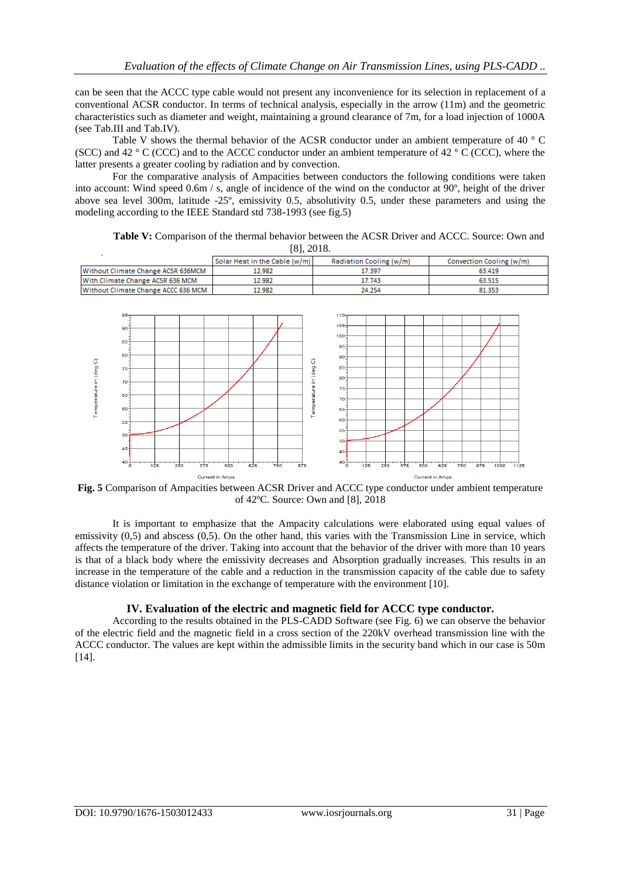can be seen that the ACCC type cable would not present any inconvenience for its selection in replacement of a conventional ACSR conductor. In terms of technical analysis, especially in the arrow (11m) and the geometric characteristics such as diameter and weight, maintaining a ground clearance of 7m, for a load injection of 1000A (see Tab.III and Tab.IV).

Table V shows the thermal behavior of the ACSR conductor under an ambient temperature of 40 °C (SCC) and 42  $\degree$  C (CCC) and to the ACCC conductor under an ambient temperature of 42  $\degree$  C (CCC), where the latter presents a greater cooling by radiation and by convection.

For the comparative analysis of Ampacities between conductors the following conditions were taken into account: Wind speed 0.6m / s, angle of incidence of the wind on the conductor at 90º, height of the driver above sea level 300m, latitude -25º, emissivity 0.5, absolutivity 0.5, under these parameters and using the modeling according to the IEEE Standard std 738-1993 (see fig.5)

**Table V:** Comparison of the thermal behavior between the ACSR Driver and ACCC. Source: Own and [8], 2018.

|                                                                                                                                                                   | Solar Heat in the Cable (w/m)                                                         | Radiation Cooling (w/m)                                                                                                                                                                       | Convection Cooling (w/m)                                    |  |
|-------------------------------------------------------------------------------------------------------------------------------------------------------------------|---------------------------------------------------------------------------------------|-----------------------------------------------------------------------------------------------------------------------------------------------------------------------------------------------|-------------------------------------------------------------|--|
| Without Climate Change ACSR 636MCM                                                                                                                                | 12.982                                                                                | 17.397                                                                                                                                                                                        | 63.419                                                      |  |
| With Climate Change ACSR 636 MCM                                                                                                                                  | 12.982                                                                                | 17.743                                                                                                                                                                                        | 63.515                                                      |  |
| Without Climate Change ACCC 636 MCM                                                                                                                               | 12.982                                                                                | 24.254                                                                                                                                                                                        | 81.353                                                      |  |
| $95-$<br>$90 -$<br>85<br>$80-$<br>Temperature in (deg C)<br>$75 -$<br>$70-$<br>$65 -$<br>$60 -$<br>$55 -$<br>$50 -$<br>$45 -$<br>$40 -$<br>375<br>250<br>125<br>ó | $\sigma$<br>Temperature in (deg<br>625<br>500<br>750<br>875<br><b>Current in Amps</b> | $110 -$<br>$105 -$<br>$100 -$<br>$95 -$<br>$90 -$<br>$85 -$<br>80<br>$75 -$<br>-70-<br>65-<br>$60 -$<br>$55 -$<br>$50 -$<br>$45 -$<br>40 <sup>°</sup><br>375<br>500<br>125<br>250<br>$\Omega$ | 625<br>875<br>750<br>1000<br>1125<br><b>Current in Amps</b> |  |

**Fig. 5** Comparison of Ampacities between ACSR Driver and ACCC type conductor under ambient temperature of 42ºC. Source: Own and [8], 2018

It is important to emphasize that the Ampacity calculations were elaborated using equal values of emissivity  $(0,5)$  and abscess  $(0,5)$ . On the other hand, this varies with the Transmission Line in service, which affects the temperature of the driver. Taking into account that the behavior of the driver with more than 10 years is that of a black body where the emissivity decreases and Absorption gradually increases. This results in an increase in the temperature of the cable and a reduction in the transmission capacity of the cable due to safety distance violation or limitation in the exchange of temperature with the environment [10].

#### **IV. Evaluation of the electric and magnetic field for ACCC type conductor.**

According to the results obtained in the PLS-CADD Software (see Fig. 6) we can observe the behavior of the electric field and the magnetic field in a cross section of the 220kV overhead transmission line with the ACCC conductor. The values are kept within the admissible limits in the security band which in our case is 50m [14].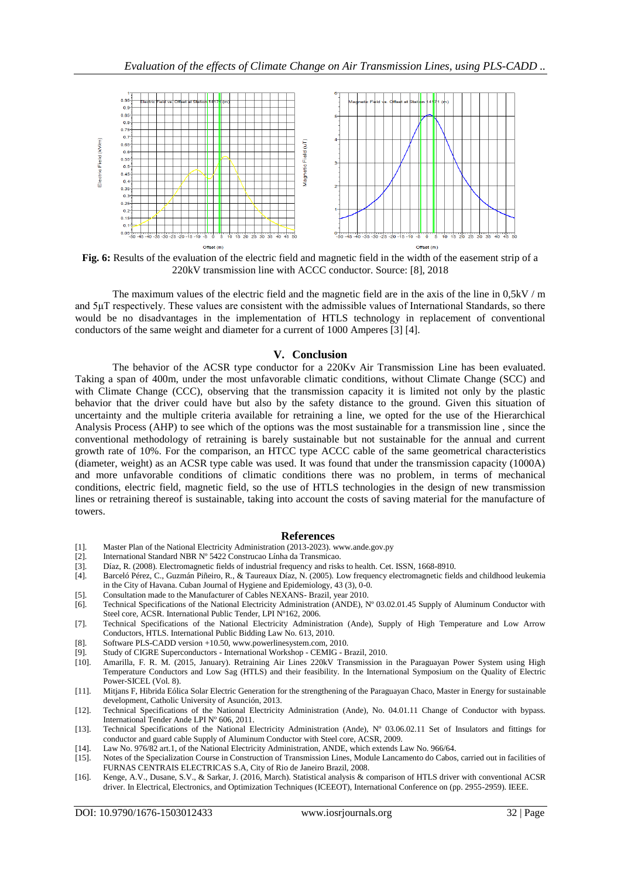

**Fig. 6:** Results of the evaluation of the electric field and magnetic field in the width of the easement strip of a 220kV transmission line with ACCC conductor. Source: [8], 2018

The maximum values of the electric field and the magnetic field are in the axis of the line in 0,5kV / m and 5μT respectively. These values are consistent with the admissible values of International Standards, so there would be no disadvantages in the implementation of HTLS technology in replacement of conventional conductors of the same weight and diameter for a current of 1000 Amperes [3] [4].

#### **V. Conclusion**

The behavior of the ACSR type conductor for a 220Kv Air Transmission Line has been evaluated. Taking a span of 400m, under the most unfavorable climatic conditions, without Climate Change (SCC) and with Climate Change (CCC), observing that the transmission capacity it is limited not only by the plastic behavior that the driver could have but also by the safety distance to the ground. Given this situation of uncertainty and the multiple criteria available for retraining a line, we opted for the use of the Hierarchical Analysis Process (AHP) to see which of the options was the most sustainable for a transmission line , since the conventional methodology of retraining is barely sustainable but not sustainable for the annual and current growth rate of 10%. For the comparison, an HTCC type ACCC cable of the same geometrical characteristics (diameter, weight) as an ACSR type cable was used. It was found that under the transmission capacity (1000A) and more unfavorable conditions of climatic conditions there was no problem, in terms of mechanical conditions, electric field, magnetic field, so the use of HTLS technologies in the design of new transmission lines or retraining thereof is sustainable, taking into account the costs of saving material for the manufacture of towers.

#### **References**

- [1]. Master Plan of the National Electricity Administration (2013-2023). www.ande.gov.py
- [2]. International Standard NBR Nº 5422 Construcao Línha da Transmicao.
- 
- [3]. Díaz, R. (2008). Electromagnetic fields of industrial frequency and risks to health. Cet. ISSN, 1668-8910. [4]. Barceló Pérez, C., Guzmán Piñeiro, R., & Taureaux Díaz, N. (2005). Low frequency electromagnetic fields and childhood leukemia in the City of Havana. Cuban Journal of Hygiene and Epidemiology, 43 (3), 0-0.
- [5]. Consultation made to the Manufacturer of Cables NEXANS- Brazil, year 2010.
- [6]. Technical Specifications of the National Electricity Administration (ANDE), Nº 03.02.01.45 Supply of Aluminum Conductor with Steel core, ACSR. International Public Tender, LPI Nº162, 2006.
- [7]. Technical Specifications of the National Electricity Administration (Ande), Supply of High Temperature and Low Arrow Conductors, HTLS. International Public Bidding Law No. 613, 2010.
- [8]. Software PLS-CADD version +10.50, www.powerlinesystem.com, 2010.
- [9]. Study of CIGRE Superconductors International Workshop CEMIG Brazil, 2010.
- [10]. Amarilla, F. R. M. (2015, January). Retraining Air Lines 220kV Transmission in the Paraguayan Power System using High Temperature Conductors and Low Sag (HTLS) and their feasibility. In the International Symposium on the Quality of Electric Power-SICEL (Vol. 8).
- [11]. Mitjans F, Hibrida Eólica Solar Electric Generation for the strengthening of the Paraguayan Chaco, Master in Energy for sustainable development, Catholic University of Asunción, 2013.
- [12]. Technical Specifications of the National Electricity Administration (Ande), No. 04.01.11 Change of Conductor with bypass. International Tender Ande LPI Nº 606, 2011.
- [13]. Technical Specifications of the National Electricity Administration (Ande), N° 03.06.02.11 Set of Insulators and fittings for conductor and guard cable Supply of Aluminum Conductor with Steel core, ACSR, 2009.
- [14]. Law No. 976/82 art.1, of the National Electricity Administration, ANDE, which extends Law No. 966/64.<br>[15]. Notes of the Specialization Course in Construction of Transmission Lines, Module Lancamento do Cabos
- Notes of the Specialization Course in Construction of Transmission Lines, Module Lancamento do Cabos, carried out in facilities of FURNAS CENTRAIS ELECTRICAS S.A, City of Rio de Janeiro Brazil, 2008.
- [16]. Kenge, A.V., Dusane, S.V., & Sarkar, J. (2016, March). Statistical analysis & comparison of HTLS driver with conventional ACSR driver. In Electrical, Electronics, and Optimization Techniques (ICEEOT), International Conference on (pp. 2955-2959). IEEE.